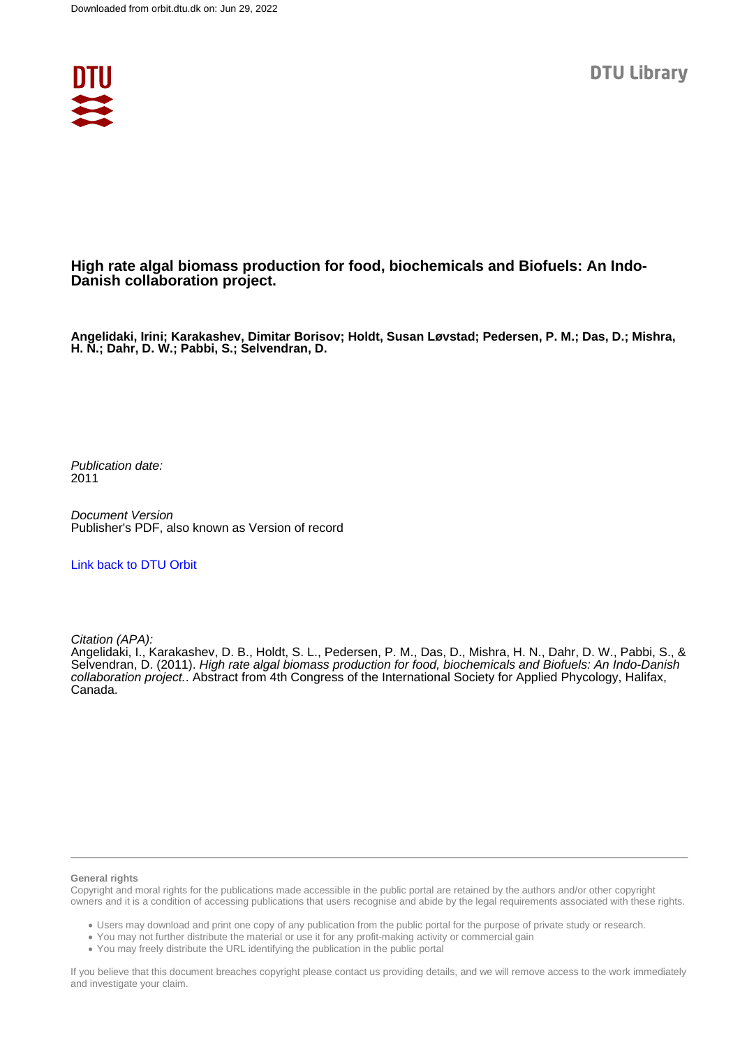

## **High rate algal biomass production for food, biochemicals and Biofuels: An Indo-Danish collaboration project.**

**Angelidaki, Irini; Karakashev, Dimitar Borisov; Holdt, Susan Løvstad; Pedersen, P. M.; Das, D.; Mishra, H. N.; Dahr, D. W.; Pabbi, S.; Selvendran, D.**

Publication date: 2011

Document Version Publisher's PDF, also known as Version of record

[Link back to DTU Orbit](https://orbit.dtu.dk/en/publications/e8039428-2a7d-4369-9f33-0f6a369c023f)

Citation (APA):

Angelidaki, I., Karakashev, D. B., Holdt, S. L., Pedersen, P. M., Das, D., Mishra, H. N., Dahr, D. W., Pabbi, S., & Selvendran, D. (2011). High rate algal biomass production for food, biochemicals and Biofuels: An Indo-Danish collaboration project.. Abstract from 4th Congress of the International Society for Applied Phycology, Halifax, Canada.

## **General rights**

Copyright and moral rights for the publications made accessible in the public portal are retained by the authors and/or other copyright owners and it is a condition of accessing publications that users recognise and abide by the legal requirements associated with these rights.

Users may download and print one copy of any publication from the public portal for the purpose of private study or research.

- You may not further distribute the material or use it for any profit-making activity or commercial gain
- You may freely distribute the URL identifying the publication in the public portal

If you believe that this document breaches copyright please contact us providing details, and we will remove access to the work immediately and investigate your claim.